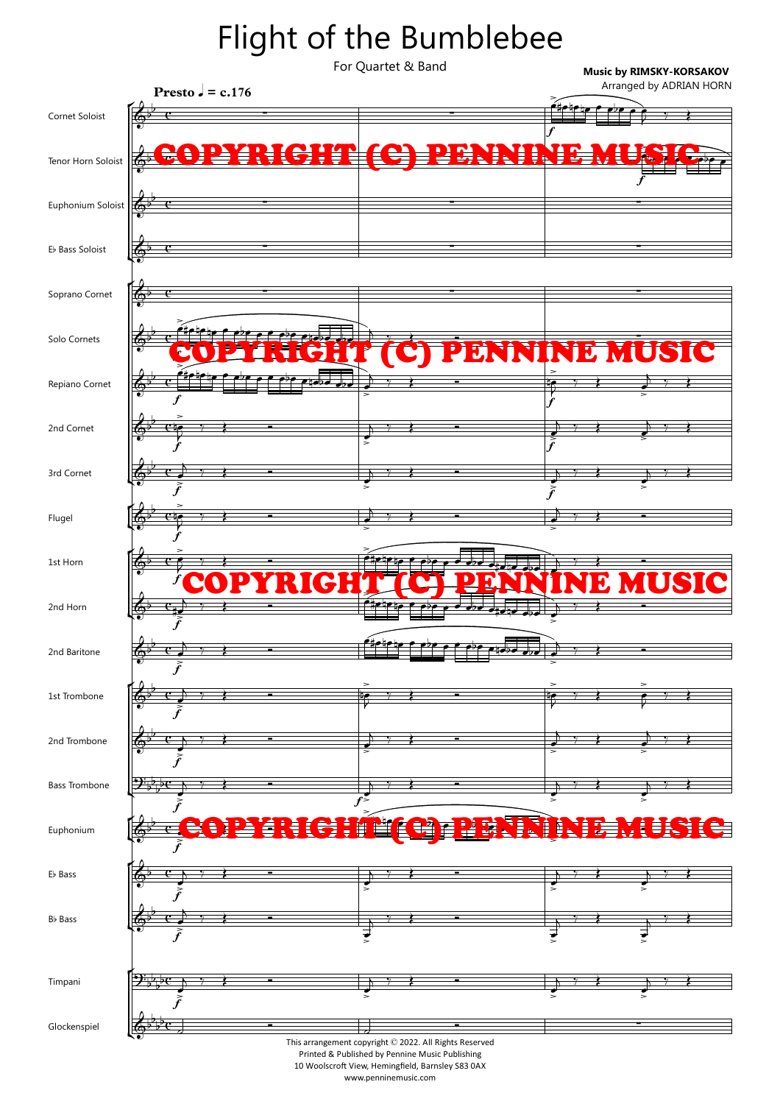## Flight of the Bumblebee

For Quartet & Band

Arranged by ADRIAN HORN



<sup>10</sup> Woolscroft View, Hemingfield, Barnsley S83 0AX

www.penninemusic.com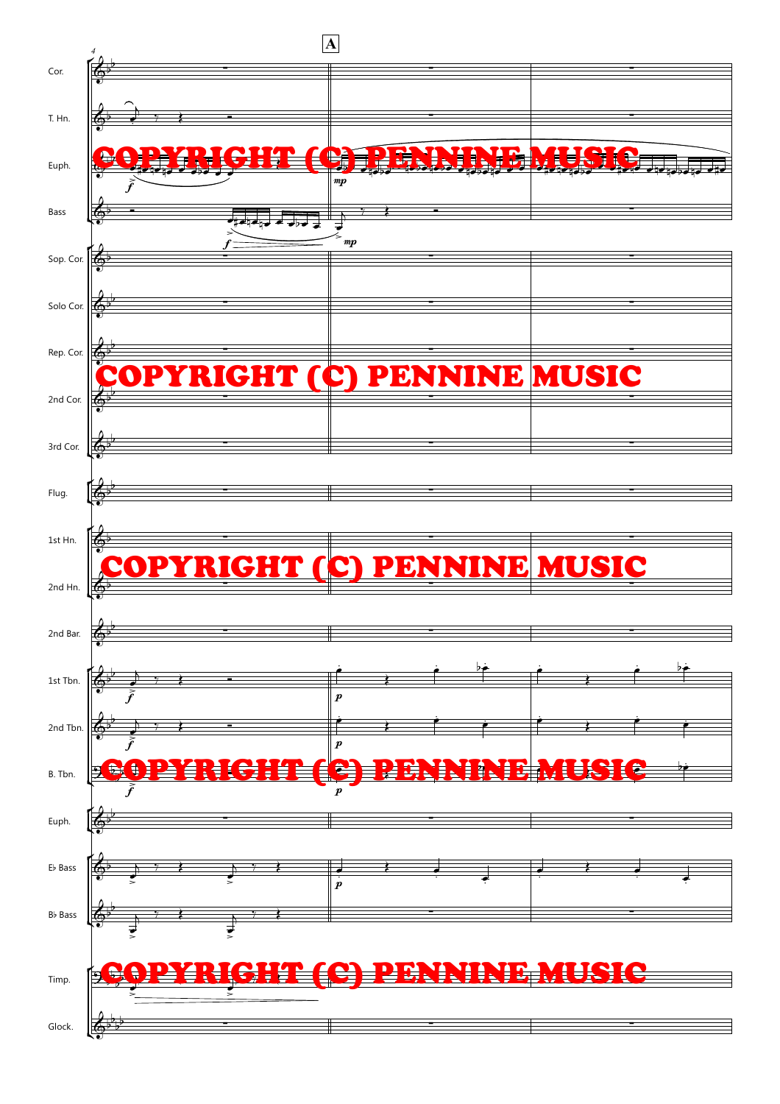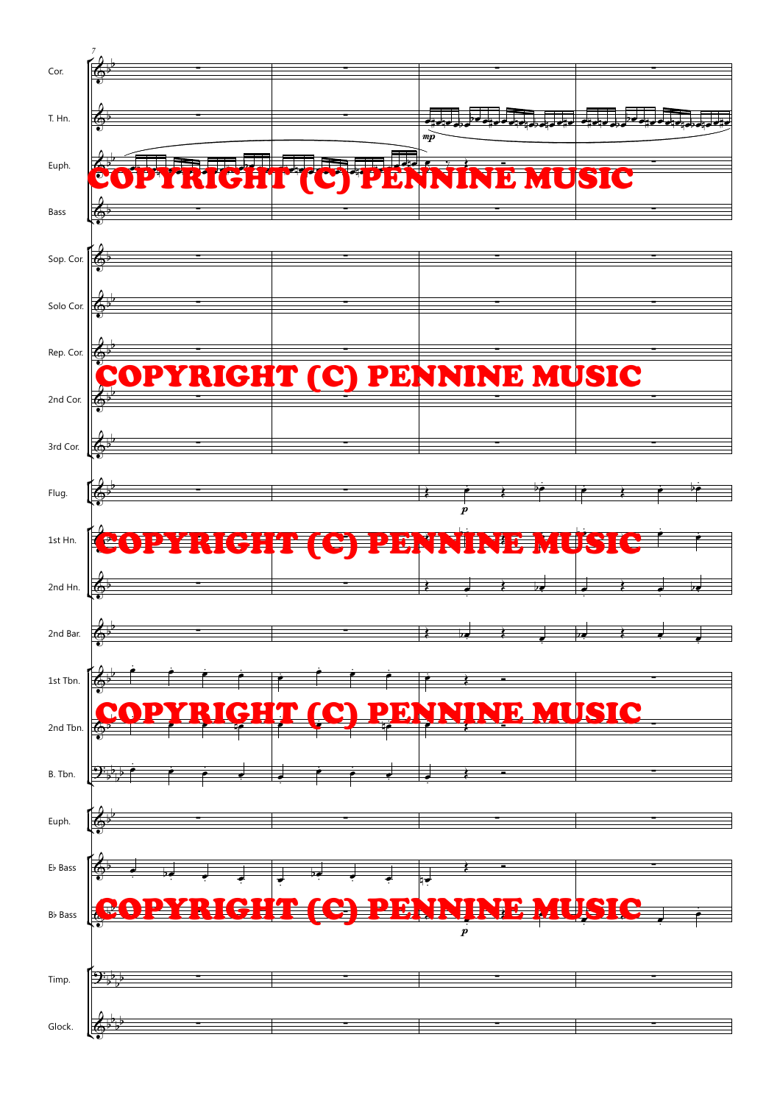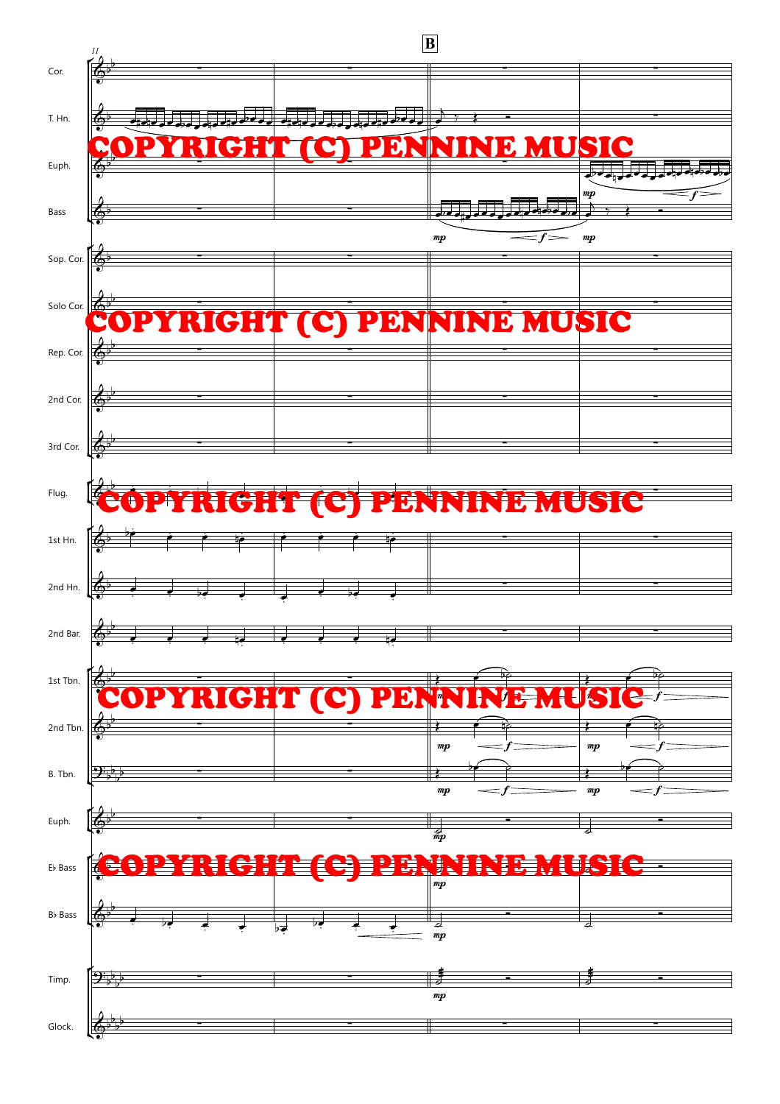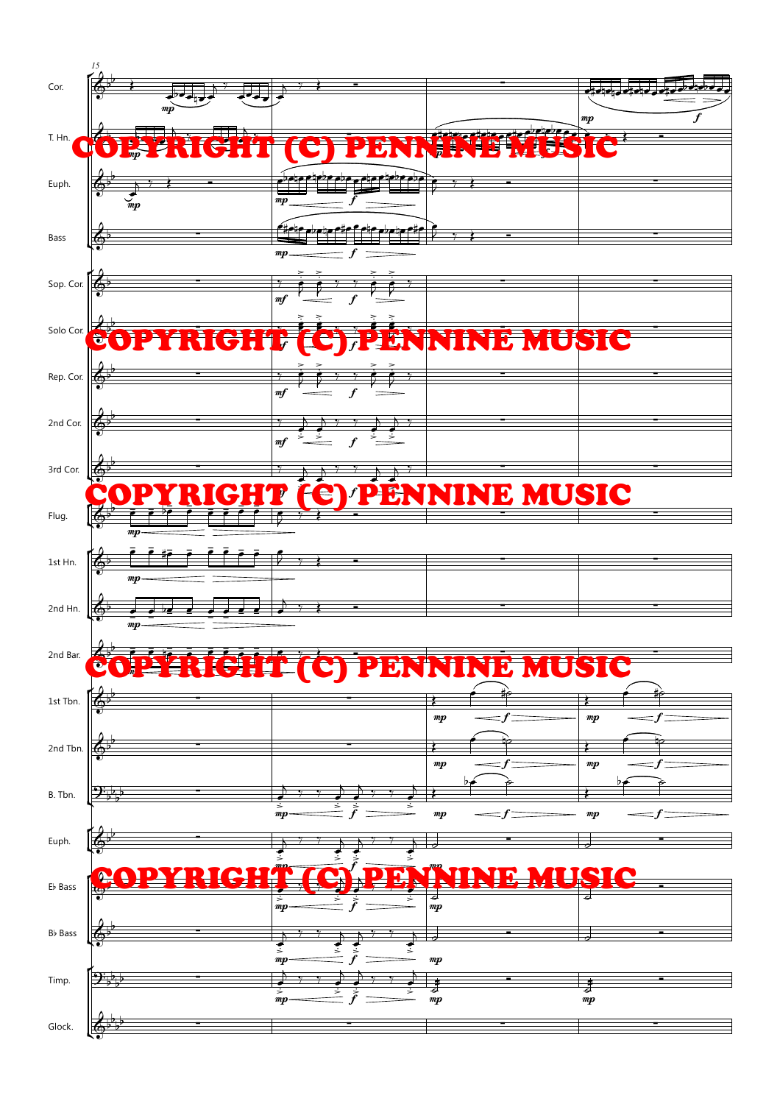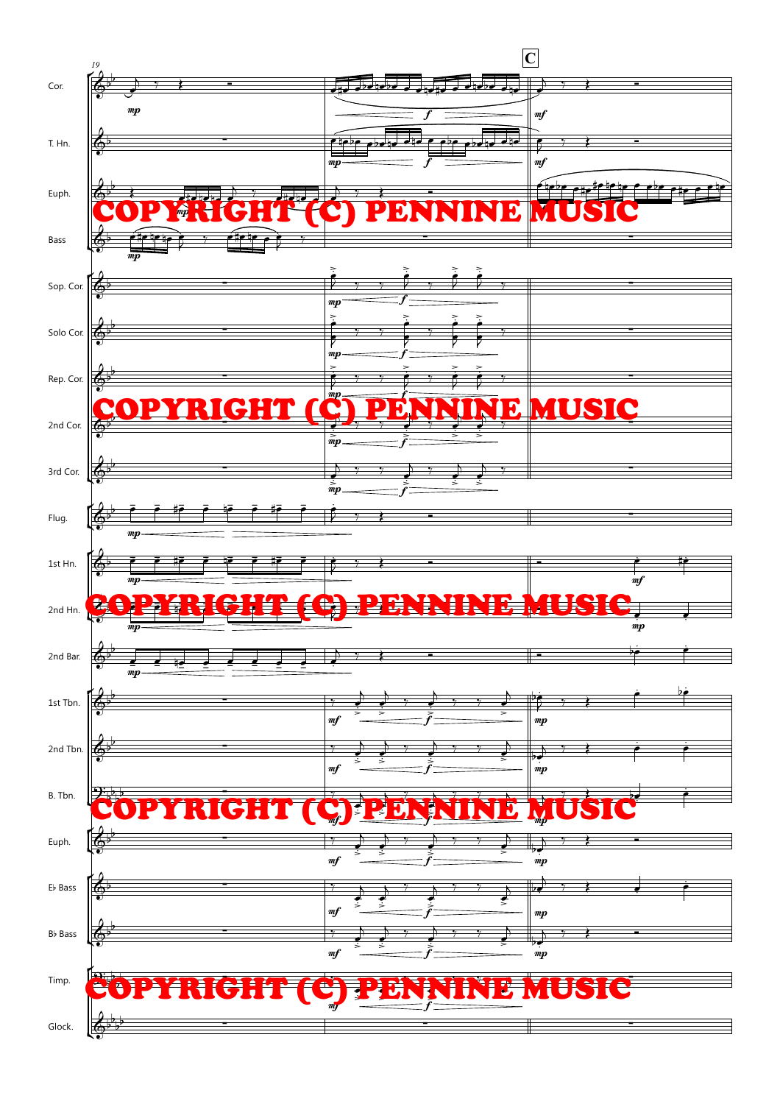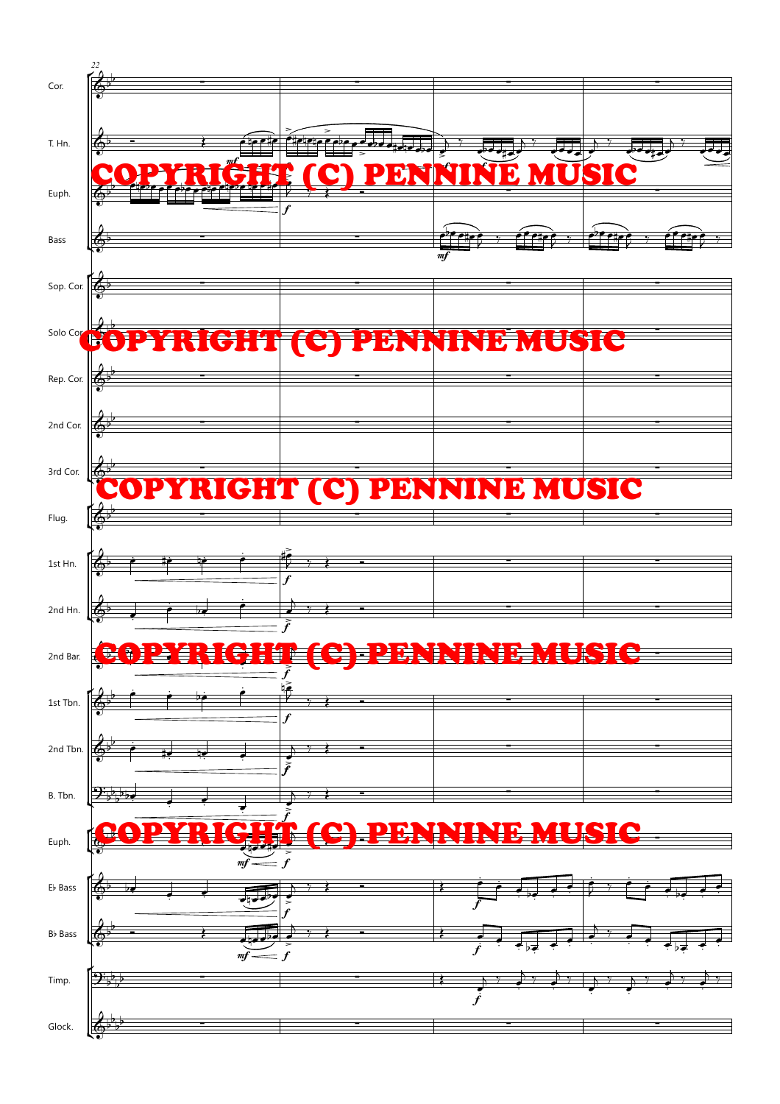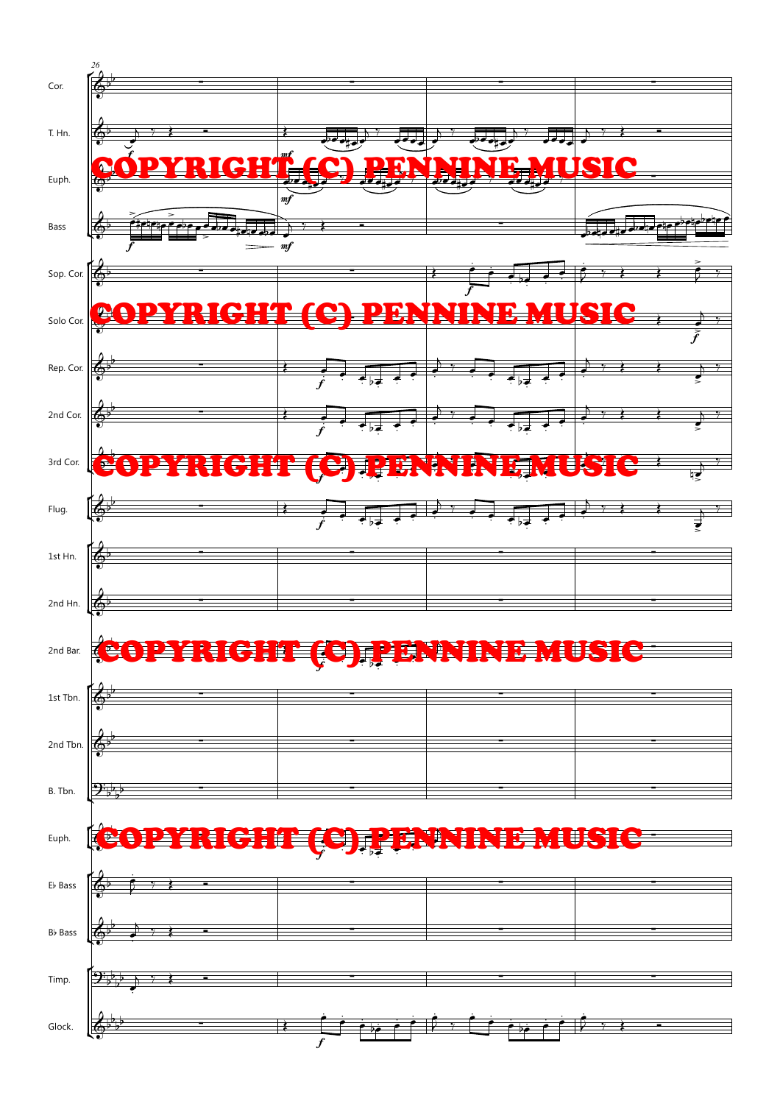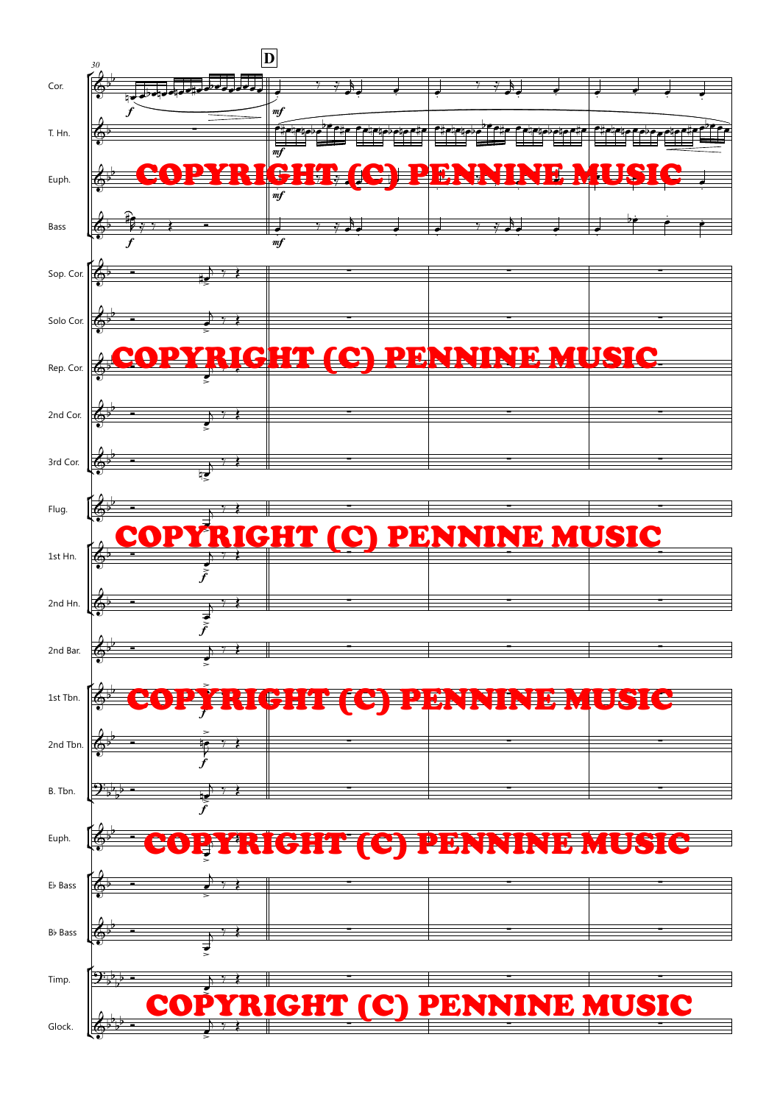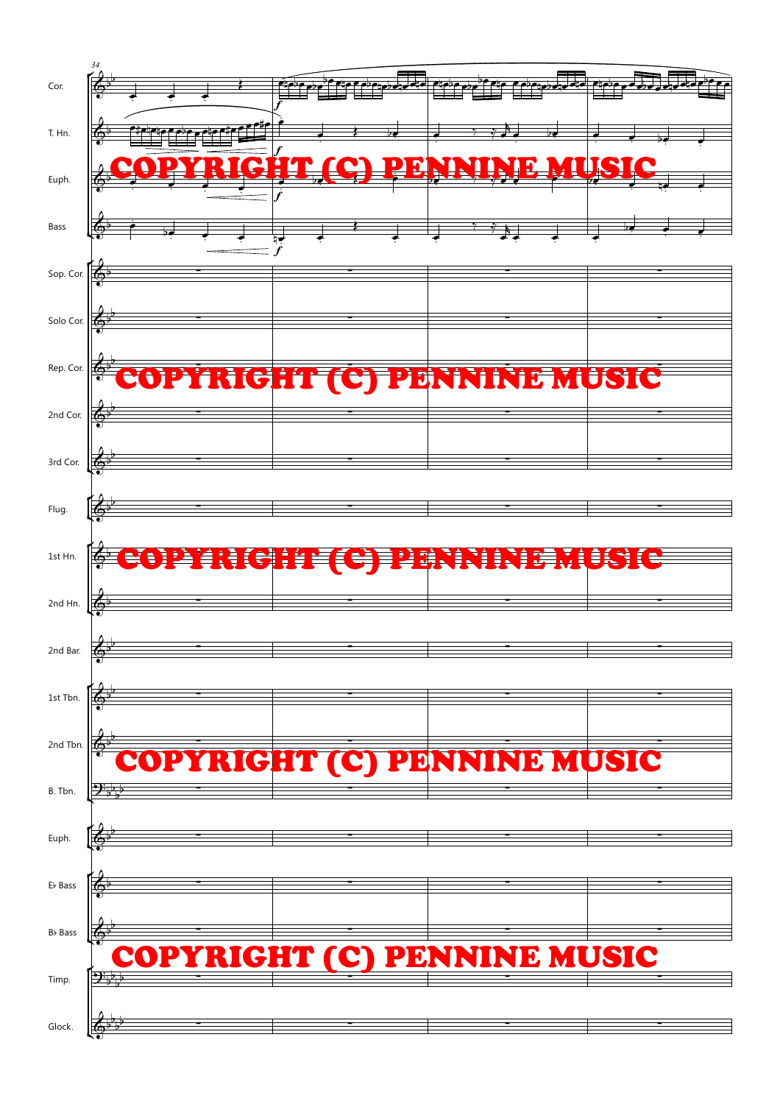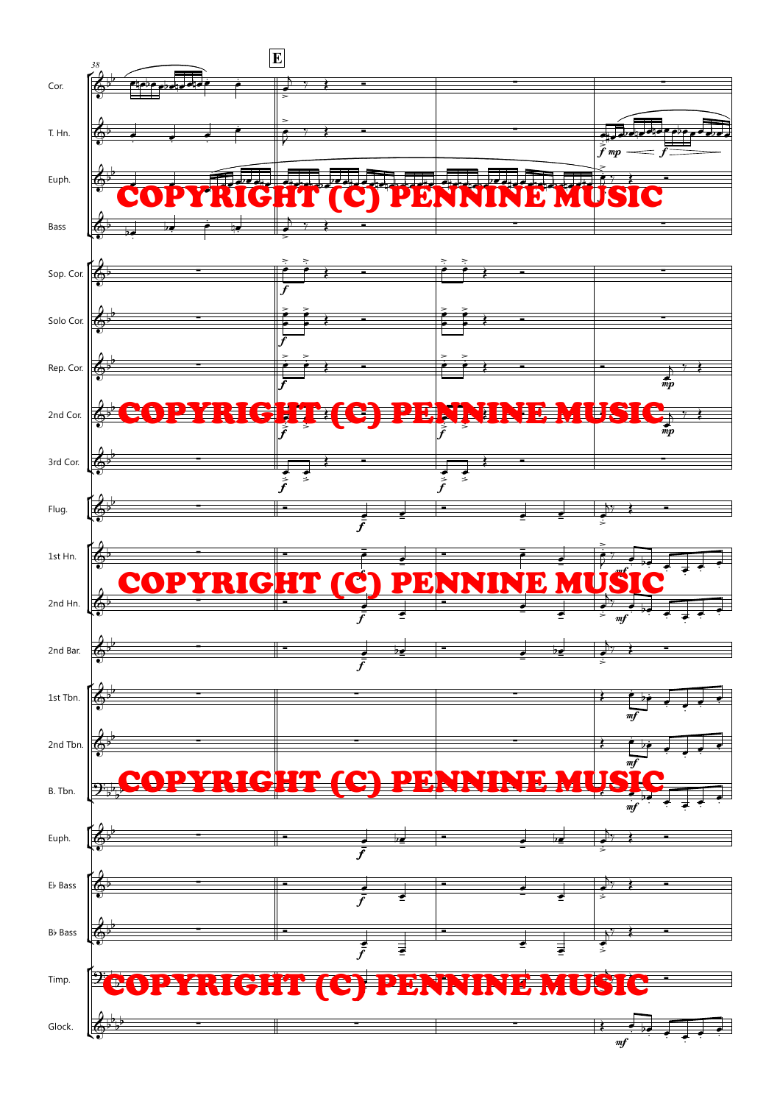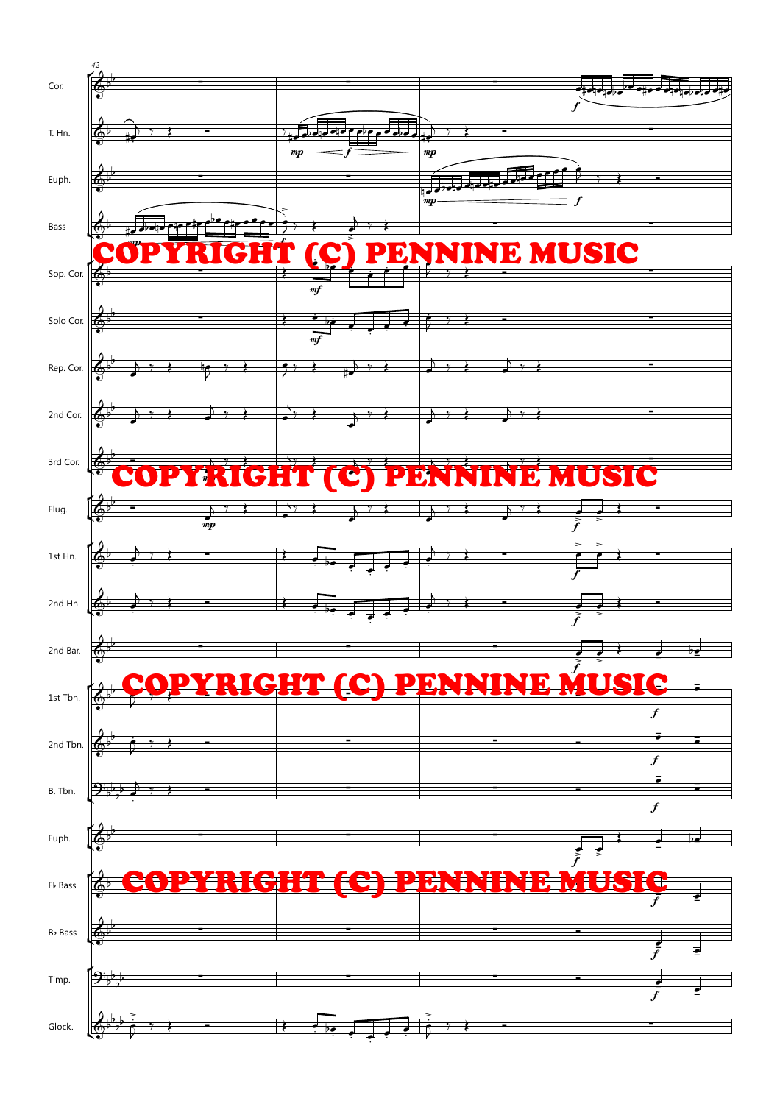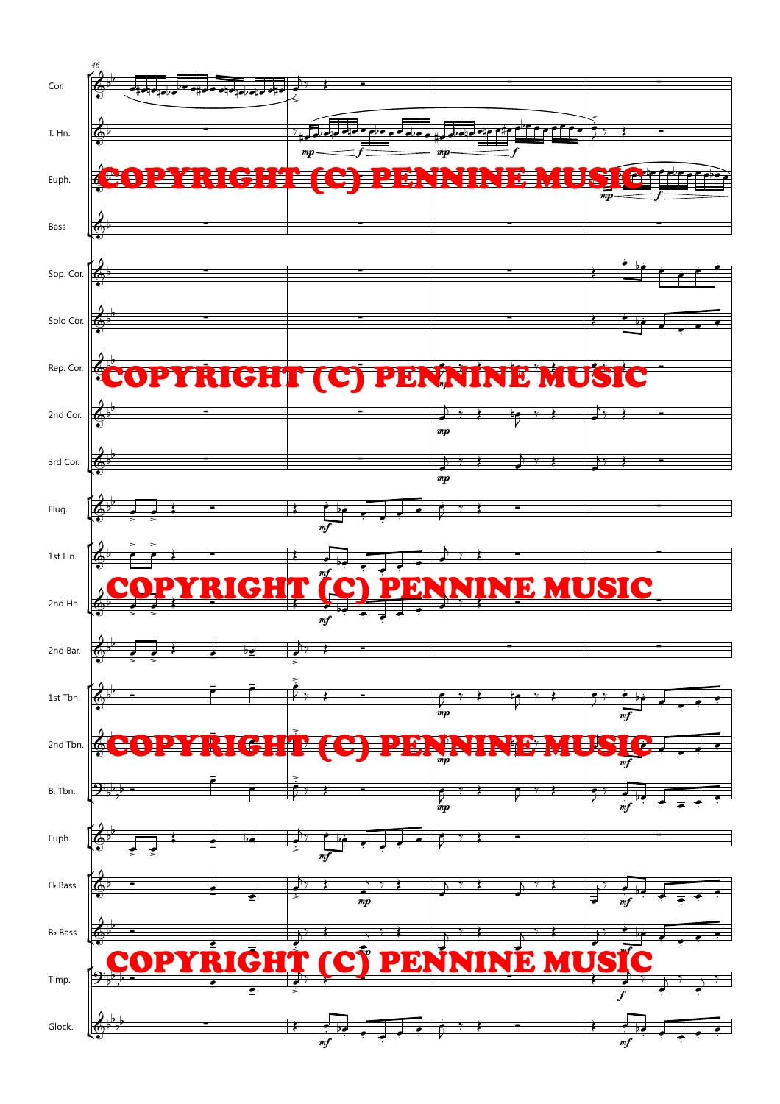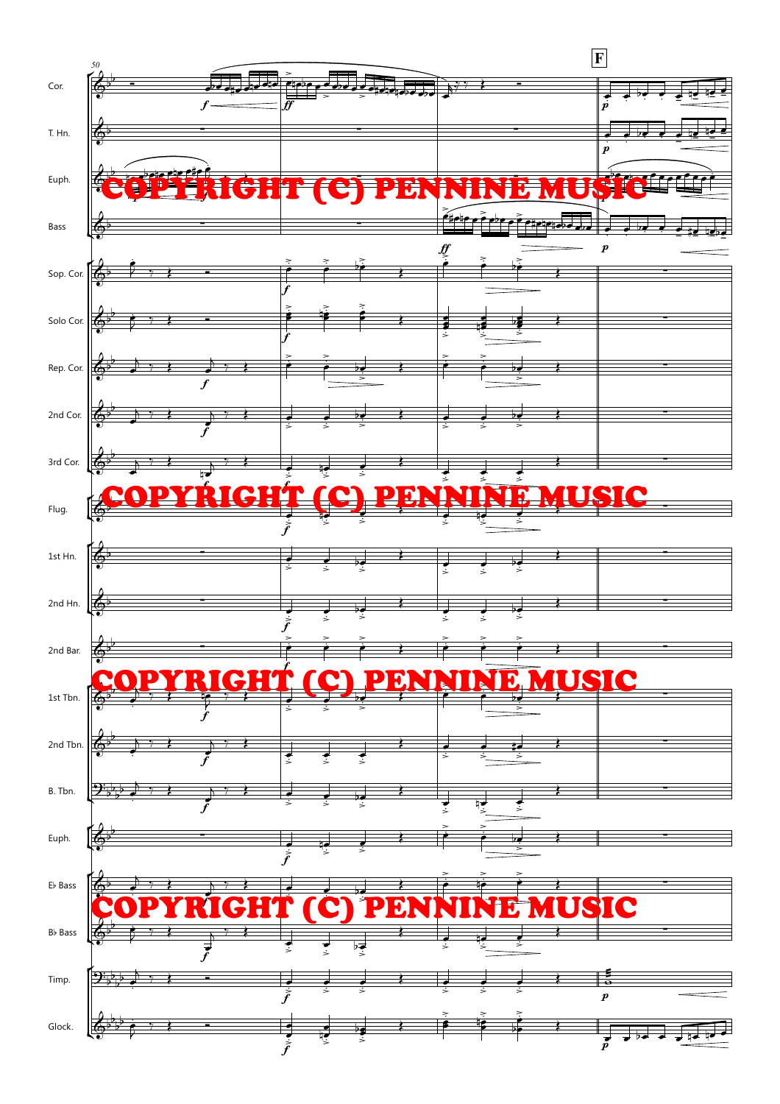